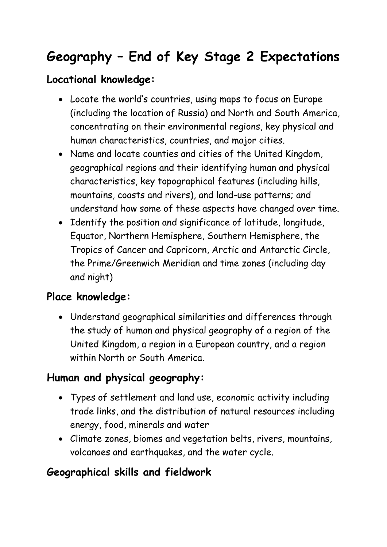# **Geography – End of Key Stage 2 Expectations**

### **Locational knowledge:**

- Locate the world's countries, using maps to focus on Europe (including the location of Russia) and North and South America, concentrating on their environmental regions, key physical and human characteristics, countries, and major cities.
- Name and locate counties and cities of the United Kingdom, geographical regions and their identifying human and physical characteristics, key topographical features (including hills, mountains, coasts and rivers), and land-use patterns; and understand how some of these aspects have changed over time.
- Identify the position and significance of latitude, longitude, Equator, Northern Hemisphere, Southern Hemisphere, the Tropics of Cancer and Capricorn, Arctic and Antarctic Circle, the Prime/Greenwich Meridian and time zones (including day and night)

### **Place knowledge:**

 Understand geographical similarities and differences through the study of human and physical geography of a region of the United Kingdom, a region in a European country, and a region within North or South America.

## **Human and physical geography:**

- Types of settlement and land use, economic activity including trade links, and the distribution of natural resources including energy, food, minerals and water
- Climate zones, biomes and vegetation belts, rivers, mountains, volcanoes and earthquakes, and the water cycle.

### **Geographical skills and fieldwork**